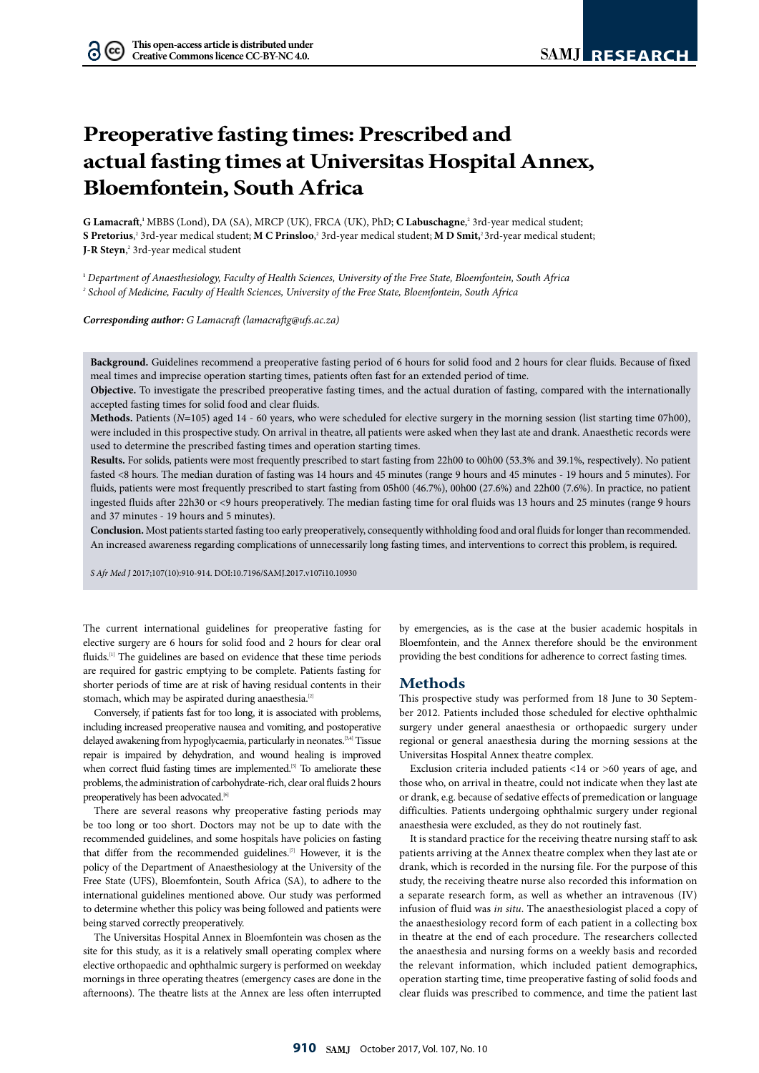$(cc)$ 

# **Preoperative fasting times: Prescribed and actual fasting times at Universitas Hospital Annex, Bloemfontein, South Africa**

G Lamacraft,<sup>1</sup> MBBS (Lond), DA (SA), MRCP (UK), FRCA (UK), PhD; **C Labuschagne**,<sup>2</sup> 3rd-year medical student; **S Pretorius**,<sup>2</sup> 3rd-year medical student; **M C Prinsloo**,<sup>2</sup> 3rd-year medical student; **M D Smit**,<sup>2</sup> 3rd-year medical student; **J-R Steyn**, 2 3rd-year medical student

**<sup>1</sup>** *Department of Anaesthesiology, Faculty of Health Sciences, University of the Free State, Bloemfontein, South Africa 2 School of Medicine, Faculty of Health Sciences, University of the Free State, Bloemfontein, South Africa*

*Corresponding author: G Lamacraft (lamacraftg@ufs.ac.za)*

**Background.** Guidelines recommend a preoperative fasting period of 6 hours for solid food and 2 hours for clear fluids. Because of fixed meal times and imprecise operation starting times, patients often fast for an extended period of time.

**Objective.** To investigate the prescribed preoperative fasting times, and the actual duration of fasting, compared with the internationally accepted fasting times for solid food and clear fluids.

**Methods.** Patients (*N*=105) aged 14 - 60 years, who were scheduled for elective surgery in the morning session (list starting time 07h00), were included in this prospective study. On arrival in theatre, all patients were asked when they last ate and drank. Anaesthetic records were used to determine the prescribed fasting times and operation starting times.

**Results.** For solids, patients were most frequently prescribed to start fasting from 22h00 to 00h00 (53.3% and 39.1%, respectively). No patient fasted <8 hours. The median duration of fasting was 14 hours and 45 minutes (range 9 hours and 45 minutes - 19 hours and 5 minutes). For fluids, patients were most frequently prescribed to start fasting from 05h00 (46.7%), 00h00 (27.6%) and 22h00 (7.6%). In practice, no patient ingested fluids after 22h30 or <9 hours preoperatively. The median fasting time for oral fluids was 13 hours and 25 minutes (range 9 hours and 37 minutes - 19 hours and 5 minutes).

**Conclusion.** Most patients started fasting too early preoperatively, consequently withholding food and oral fluids for longer than recommended. An increased awareness regarding complications of unnecessarily long fasting times, and interventions to correct this problem, is required.

*S Afr Med J* 2017;107(10):910-914. DOI:10.7196/SAMJ.2017.v107i10.10930

The current international guidelines for preoperative fasting for elective surgery are 6 hours for solid food and 2 hours for clear oral fluids.<sup>[1]</sup> The guidelines are based on evidence that these time periods are required for gastric emptying to be complete. Patients fasting for shorter periods of time are at risk of having residual contents in their stomach, which may be aspirated during anaesthesia.<sup>[2]</sup>

Conversely, if patients fast for too long, it is associated with problems, including increased preoperative nausea and vomiting, and postoperative delayed awakening from hypoglycaemia, particularly in neonates.<sup>[3,4]</sup> Tissue repair is impaired by dehydration, and wound healing is improved when correct fluid fasting times are implemented.<sup>[5]</sup> To ameliorate these problems, the administration of carbohydrate-rich, clear oral fluids 2 hours preoperatively has been advocated.<sup>[6]</sup>

There are several reasons why preoperative fasting periods may be too long or too short. Doctors may not be up to date with the recommended guidelines, and some hospitals have policies on fasting that differ from the recommended guidelines.[7] However, it is the policy of the Department of Anaesthesiology at the University of the Free State (UFS), Bloemfontein, South Africa (SA), to adhere to the international guidelines mentioned above. Our study was performed to determine whether this policy was being followed and patients were being starved correctly preoperatively.

The Universitas Hospital Annex in Bloemfontein was chosen as the site for this study, as it is a relatively small operating complex where elective orthopaedic and ophthalmic surgery is performed on weekday mornings in three operating theatres (emergency cases are done in the afternoons). The theatre lists at the Annex are less often interrupted

by emergencies, as is the case at the busier academic hospitals in Bloemfontein, and the Annex therefore should be the environment providing the best conditions for adherence to correct fasting times.

### **Methods**

This prospective study was performed from 18 June to 30 September 2012. Patients included those scheduled for elective ophthalmic surgery under general anaesthesia or orthopaedic surgery under regional or general anaesthesia during the morning sessions at the Universitas Hospital Annex theatre complex.

Exclusion criteria included patients <14 or >60 years of age, and those who, on arrival in theatre, could not indicate when they last ate or drank, e.g. because of sedative effects of premedication or language difficulties. Patients undergoing ophthalmic surgery under regional anaesthesia were excluded, as they do not routinely fast.

It is standard practice for the receiving theatre nursing staff to ask patients arriving at the Annex theatre complex when they last ate or drank, which is recorded in the nursing file. For the purpose of this study, the receiving theatre nurse also recorded this information on a separate research form, as well as whether an intravenous (IV) infusion of fluid was *in situ*. The anaesthesiologist placed a copy of the anaesthesiology record form of each patient in a collecting box in theatre at the end of each procedure. The researchers collected the anaesthesia and nursing forms on a weekly basis and recorded the relevant information, which included patient demographics, operation starting time, time preoperative fasting of solid foods and clear fluids was prescribed to commence, and time the patient last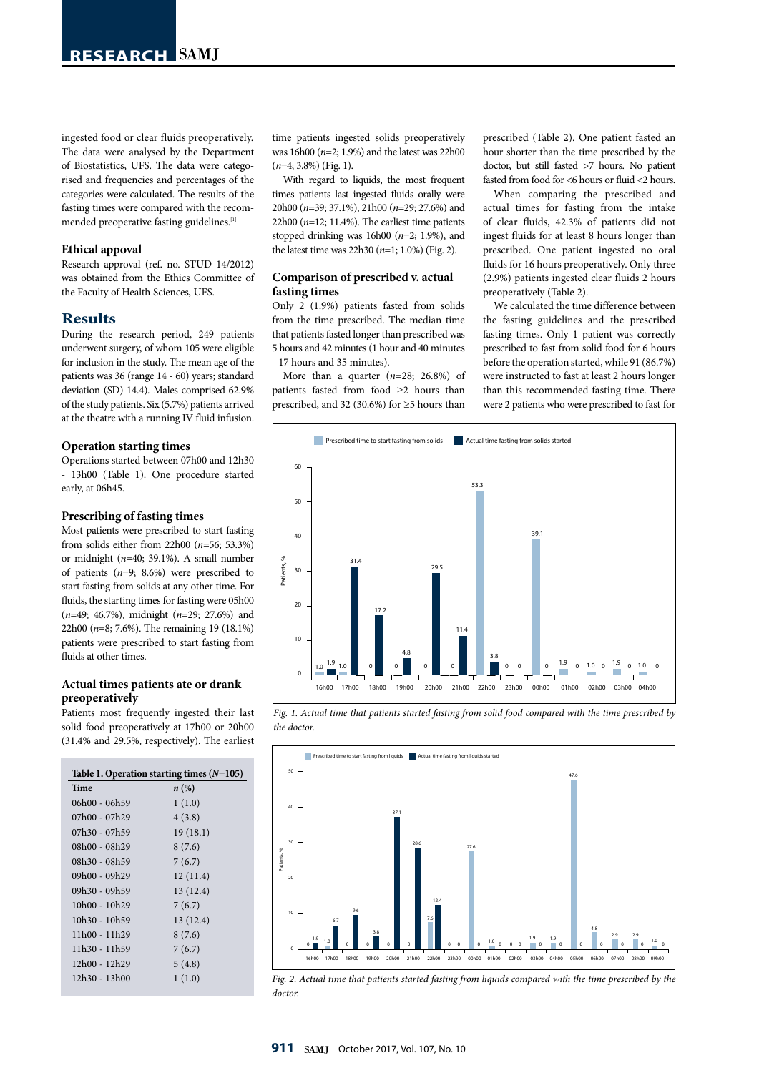ingested food or clear fluids preoperatively. The data were analysed by the Department of Biostatistics, UFS. The data were categorised and frequencies and percentages of the categories were calculated. The results of the fasting times were compared with the recommended preoperative fasting guidelines.<sup>[1]</sup>

## **Ethical appoval**

Research approval (ref. no. STUD 14/2012) was obtained from the Ethics Committee of the Faculty of Health Sciences, UFS.

## **Results**

During the research period, 249 patients underwent surgery, of whom 105 were eligible for inclusion in the study. The mean age of the patients was 36 (range 14 - 60) years; standard deviation (SD) 14.4). Males comprised 62.9% of the study patients. Six (5.7%) patients arrived at the theatre with a running IV fluid infusion.

#### **Operation starting times**

Operations started between 07h00 and 12h30 - 13h00 (Table 1). One procedure started early, at 06h45.

### **Prescribing of fasting times**

Most patients were prescribed to start fasting from solids either from 22h00 (*n*=56; 53.3%) or midnight (*n*=40; 39.1%). A small number of patients (*n*=9; 8.6%) were prescribed to start fasting from solids at any other time. For fluids, the starting times for fasting were 05h00 (*n*=49; 46.7%), midnight (*n*=29; 27.6%) and 22h00 (*n*=8; 7.6%). The remaining 19 (18.1%) patients were prescribed to start fasting from fluids at other times.

# **Actual times patients ate or drank preoperatively**

Patients most frequently ingested their last solid food preoperatively at 17h00 or 20h00 (31.4% and 29.5%, respectively). The earliest

| Table 1. Operation starting times $(N=105)$ |                    |
|---------------------------------------------|--------------------|
| Time                                        | $n\left(\%\right)$ |
| 06h00 - 06h59                               | 1(1.0)             |
| 07h00 - 07h29                               | 4(3.8)             |
| 07h30 - 07h59                               | 19(18.1)           |
| 08h00 - 08h29                               | 8(7.6)             |
| 08h30 - 08h59                               | 7(6.7)             |
| $09h00 - 09h29$                             | 12(11.4)           |
| 09h30 - 09h59                               | 13(12.4)           |
| $10h00 - 10h29$                             | 7(6.7)             |
| $10h30 - 10h59$                             | 13(12.4)           |
| $11h00 - 11h29$                             | 8(7.6)             |
| 11h30 - 11h59                               | 7(6.7)             |
| 12h00 - 12h29                               | 5(4.8)             |
| 12h30 - 13h00                               | 1(1.0)             |
|                                             |                    |

time patients ingested solids preoperatively was 16h00 (*n*=2; 1.9%) and the latest was 22h00 (*n*=4; 3.8%) (Fig. 1).

With regard to liquids, the most frequent times patients last ingested fluids orally were 20h00 (*n*=39; 37.1%), 21h00 (*n*=29; 27.6%) and  $22h00$  ( $n=12$ ; 11.4%). The earliest time patients stopped drinking was 16h00 (*n*=2; 1.9%), and the latest time was 22h30 (*n*=1; 1.0%) (Fig. 2).

# **Comparison of prescribed v. actual fasting times**

Only 2 (1.9%) patients fasted from solids from the time prescribed. The median time that patients fasted longer than prescribed was 5 hours and 42 minutes (1 hour and 40 minutes - 17 hours and 35 minutes).

More than a quarter (*n*=28; 26.8%) of patients fasted from food ≥2 hours than prescribed, and 32 (30.6%) for ≥5 hours than

prescribed (Table 2). One patient fasted an hour shorter than the time prescribed by the doctor, but still fasted >7 hours. No patient fasted from food for <6 hours or fluid <2 hours.

When comparing the prescribed and actual times for fasting from the intake of clear fluids, 42.3% of patients did not ingest fluids for at least 8 hours longer than prescribed. One patient ingested no oral fluids for 16 hours preoperatively. Only three (2.9%) patients ingested clear fluids 2 hours preoperatively (Table 2).

We calculated the time difference between the fasting guidelines and the prescribed fasting times. Only 1 patient was correctly prescribed to fast from solid food for 6 hours before the operation started, while 91 (86.7%) were instructed to fast at least 2 hours longer than this recommended fasting time. There were 2 patients who were prescribed to fast for







*Fig. 2. Actual time that patients started fasting from liquids compared with the time prescribed by the doctor.*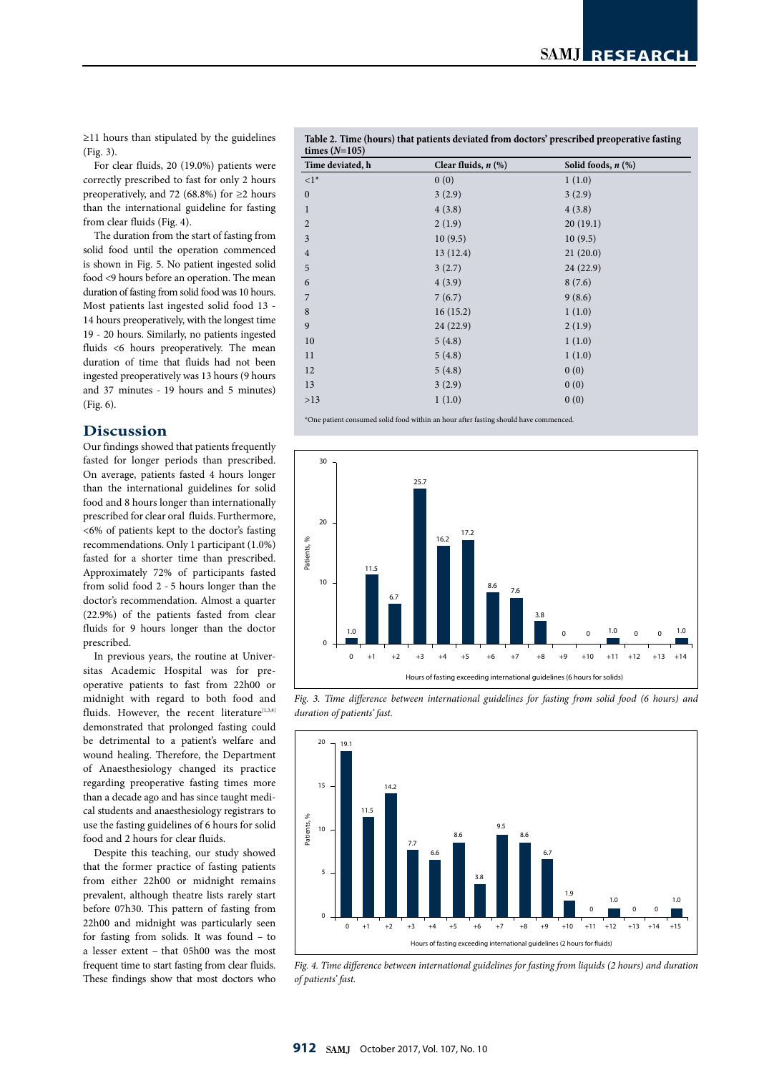≥11 hours than stipulated by the guidelines (Fig. 3).

For clear fluids, 20 (19.0%) patients were correctly prescribed to fast for only 2 hours preoperatively, and 72 (68.8%) for  $\geq$ 2 hours than the international guideline for fasting from clear fluids (Fig. 4).

The duration from the start of fasting from solid food until the operation commenced is shown in Fig. 5. No patient ingested solid food <9 hours before an operation. The mean duration of fasting from solid food was 10 hours. Most patients last ingested solid food 13 - 14 hours preoperatively, with the longest time 19 - 20 hours. Similarly, no patients ingested fluids <6 hours preoperatively. The mean duration of time that fluids had not been ingested preoperatively was 13 hours (9 hours and 37 minutes - 19 hours and 5 minutes) (Fig. 6).

## **Discussion**

Our findings showed that patients frequently fasted for longer periods than prescribed. On average, patients fasted 4 hours longer than the international guidelines for solid food and 8 hours longer than internationally prescribed for clear oral fluids. Furthermore, <6% of patients kept to the doctor's fasting recommendations. Only 1 participant (1.0%) fasted for a shorter time than prescribed. Approximately 72% of participants fasted from solid food 2 - 5 hours longer than the doctor's recommendation. Almost a quarter (22.9%) of the patients fasted from clear fluids for 9 hours longer than the doctor prescribed.  $(22.9\%$  $16h00$ 1<br>B<br>A

> In previous years, the routine at Universitas Academic Hospital was for preoperative patients to fast from 22h00 or midnight with regard to both food and fluids. However, the recent literature $[1,3,8]$ demonstrated that prolonged fasting could be detrimental to a patient's welfare and wound healing. Therefore, the Department of Anaesthesiology changed its practice regarding preoperative fasting times more than a decade ago and has since taught medical students and anaesthesiology registrars to use the fasting guidelines of 6 hours for solid food and 2 hours for clear fluids.

> Despite this teaching, our study showed that the former practice of fasting patients from either 22h00 or midnight remains prevalent, although theatre lists rarely start before 07h30. This pattern of fasting from 22h00 and midnight was particularly seen for fasting from solids. It was found – to a lesser extent – that 05h00 was the most frequent time to start fasting from clear fluids. These findings show that most doctors who

**Table 2. Time (hours) that patients deviated from doctors' prescribed preoperative fasting times (***N***=105)** 60

| Time deviated, h | Clear fluids, $n$ $(\%)$ | Solid foods, $n$ $(\%)$ |
|------------------|--------------------------|-------------------------|
| $\langle 1^*$    | 0(0)                     | 1(1.0)                  |
| $\boldsymbol{0}$ | 3(2.9)                   | 3(2.9)                  |
| 1                | 4(3.8)                   | 4(3.8)                  |
| $\overline{2}$   | 2(1.9)                   | 20(19.1)                |
| 3                | 10(9.5)                  | 10(9.5)                 |
| $\overline{4}$   | 13(12.4)                 | 21(20.0)                |
| 5                | 3(2.7)                   | 24(22.9)                |
| 6                | 4(3.9)                   | 8(7.6)                  |
| $\overline{7}$   | 7(6.7)                   | 9(8.6)                  |
| 8                | 16(15.2)                 | 1(1.0)                  |
| 9                | 24(22.9)                 | 2(1.9)                  |
| 10               | 5(4.8)                   | 1(1.0)                  |
| 11               | 5(4.8)                   | 1(1.0)                  |
| 12               | 5(4.8)                   | 0(0)                    |
| 13               | 3(2.9)                   | 0(0)                    |
| $>13$            | 1(1.0)                   | 0(0)                    |



*Fig. 3. Time difference between international guidelines for fasting from solid food (6 hours) and duration of patients' fast.* 



*Fig. 4. Time difference between international guidelines for fasting from liquids (2 hours) and duration of patients' fast.*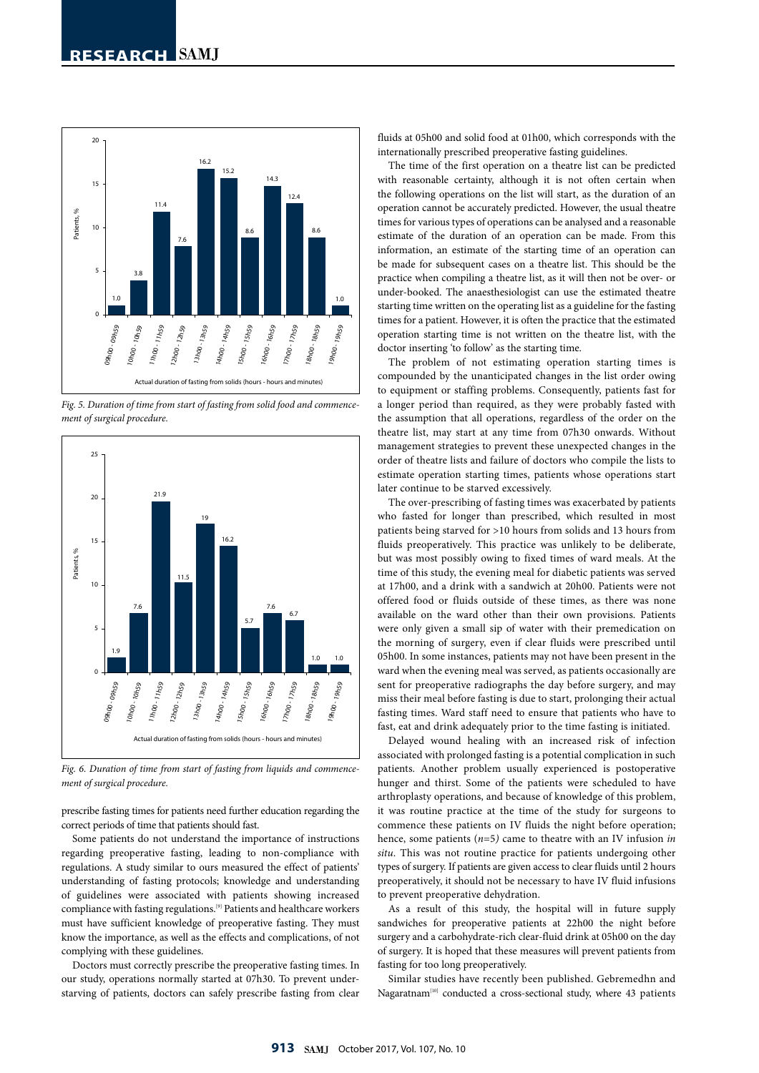9.6



Hours of fasting exceeding international guidelines (6 hours for solids)

*Fig. 5. Duration of time from start of fasting from solid food and commencement of surgical procedure.* 



*Fig. 6. Duration of time from start of fasting from liquids and commencement of surgical procedure.* 

prescribe fasting times for patients need further education regarding the correct periods of time that patients should fast.

Some patients do not understand the importance of instructions regarding preoperative fasting, leading to non-compliance with regulations. A study similar to ours measured the effect of patients' understanding of fasting protocols; knowledge and understanding of guidelines were associated with patients showing increased compliance with fasting regulations.[9] Patients and healthcare workers must have sufficient knowledge of preoperative fasting. They must know the importance, as well as the effects and complications, of not complying with these guidelines.

Doctors must correctly prescribe the preoperative fasting times. In our study, operations normally started at 07h30. To prevent understarving of patients, doctors can safely prescribe fasting from clear

fluids at 05h00 and solid food at 01h00, which corresponds with the internationally prescribed preoperative fasting guidelines.

The time of the first operation on a theatre list can be predicted with reasonable certainty, although it is not often certain when the following operations on the list will start, as the duration of an operation cannot be accurately predicted. However, the usual theatre times for various types of operations can be analysed and a reasonable estimate of the duration of an operation can be made. From this information, an estimate of the starting time of an operation can be made for subsequent cases on a theatre list. This should be the practice when compiling a theatre list, as it will then not be over- or under-booked. The anaesthesiologist can use the estimated theatre  $% \left\vert \cdot \right\rangle$  starting time written on the operating list as a guideline for the fasting times for a patient. However, it is often the practice that the estimated  $\begin{array}{ccccc}\n\overline{x} & \overline{x} & \overline{x} & \overline{x} & \overline{x} & \overline{x} & \overline{x} & \overline{x} & \overline{x} & \overline{x} & \overline{x} & \overline{x} & \overline{x} & \overline{x} & \end{array}$  operation starting time is not written on the theatre list, with the doctor inserting 'to follow' as the starting time. e.<br>P

> The problem of not estimating operation starting times is compounded by the unanticipated changes in the list order owing to equipment or star in the distance of the star of the compounded by the unanticipated changes in the list order owing to equipment or staffing problems. Consequently, patients fast for a longer period than required, as they were probably fasted with the assumption that all operations, regardless of the order on the theatre list, may start at any time from 07h30 onwards. Without management strategies to prevent these unexpected changes in the order of theatre lists and failure of doctors who compile the lists to estimate operation starting times, patients whose operations start later continue to be starved excessively. 1<br>|<br>|-

The over-prescribing of fasting times was exacerbated by patients who fasted for longer than prescribed, which resulted in most patients being starved for >10 hours from solids and 13 hours from fluids preoperatively. This practice was unlikely to be deliberate, but was most possibly owing to fixed times of ward meals. At the time of this study, the evening meal for diabetic patients was served at 17h00, and a drink with a sandwich at 20h00. Patients were not offered food or fluids outside of these times, as there was none available on the ward other than their own provisions. Patients were only given a small sip of water with their premedication on the morning of surgery, even if clear fluids were prescribed until 05h00. In some instances, patients may not have been present in the ward when the evening meal was served, as patients occasionally are sent for preoperative radiographs the day before surgery, and may miss their meal before fasting is due to start, prolonging their actual fasting times. Ward staff need to ensure that patients who have to fast, eat and drink adequately prior to the time fasting is initiated.

Delayed wound healing with an increased risk of infection associated with prolonged fasting is a potential complication in such patients. Another problem usually experienced is postoperative hunger and thirst. Some of the patients were scheduled to have arthroplasty operations, and because of knowledge of this problem, it was routine practice at the time of the study for surgeons to commence these patients on IV fluids the night before operation; hence, some patients (*n*=5*)* came to theatre with an IV infusion *in situ*. This was not routine practice for patients undergoing other types of surgery. If patients are given access to clear fluids until 2 hours preoperatively, it should not be necessary to have IV fluid infusions to prevent preoperative dehydration.

As a result of this study, the hospital will in future supply sandwiches for preoperative patients at 22h00 the night before surgery and a carbohydrate-rich clear-fluid drink at 05h00 on the day of surgery. It is hoped that these measures will prevent patients from fasting for too long preoperatively.

Similar studies have recently been published. Gebremedhn and Nagaratnam<sup>[10]</sup> conducted a cross-sectional study, where 43 patients